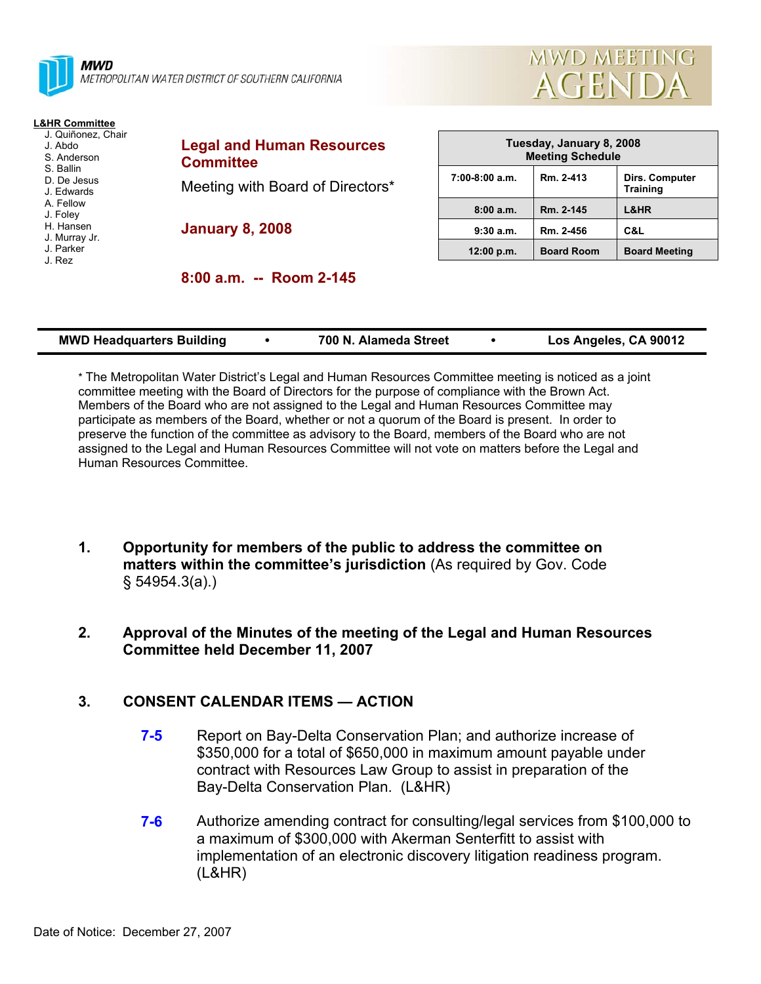

METROPOLITAN WATER DISTRICT OF SOUTHERN CALIFORNIA



- J. Quiñonez, Chair
- J. Abdo
- S. Anderson S. Ballin
- D. De Jesus
- J. Edwards
- A. Fellow
- J. Foley
- H. Hansen
- J. Murray Jr. J. Parker
- J. Rez
- **Legal and Human Resources Committee**  Meeting with Board of Directors\* **January 8, 2008**

**8:00 a.m. -- Room 2-145** 

| Tuesday, January 8, 2008<br><b>Meeting Schedule</b> |                   |                                   |  |  |  |
|-----------------------------------------------------|-------------------|-----------------------------------|--|--|--|
| $7:00-8:00$ a.m.                                    | Rm. 2-413         | Dirs. Computer<br><b>Training</b> |  |  |  |
| 8:00a.m.                                            | Rm. 2-145         | L&HR                              |  |  |  |
| 9:30a.m.                                            | Rm. 2-456         | C&L                               |  |  |  |
| 12:00 p.m.                                          | <b>Board Room</b> | <b>Board Meeting</b>              |  |  |  |

**MWD MEETING** 

**AGENDA** 

| <b>MWD Headquarters Building</b> | 700 N. Alameda Street | Los Angeles, CA 90012 |
|----------------------------------|-----------------------|-----------------------|
|                                  |                       |                       |

\* The Metropolitan Water District's Legal and Human Resources Committee meeting is noticed as a joint committee meeting with the Board of Directors for the purpose of compliance with the Brown Act. Members of the Board who are not assigned to the Legal and Human Resources Committee may participate as members of the Board, whether or not a quorum of the Board is present. In order to preserve the function of the committee as advisory to the Board, members of the Board who are not assigned to the Legal and Human Resources Committee will not vote on matters before the Legal and Human Resources Committee.

- **1. Opportunity for members of the public to address the committee on matters within the committee's jurisdiction** (As required by Gov. Code § 54954.3(a).)
- **2. Approval of the Minutes of the meeting of the Legal and Human Resources Committee held December 11, 2007**

# **3. CONSENT CALENDAR ITEMS — ACTION**

- **7-5** Report on Bay-Delta Conservation Plan; and authorize increase of \$350,000 for a total of \$650,000 in maximum amount payable under contract with Resources Law Group to assist in preparation of the Bay-Delta Conservation Plan. (L&HR)
- **7-6** Authorize amending contract for consulting/legal services from \$100,000 to a maximum of \$300,000 with Akerman Senterfitt to assist with implementation of an electronic discovery litigation readiness program. (L&HR)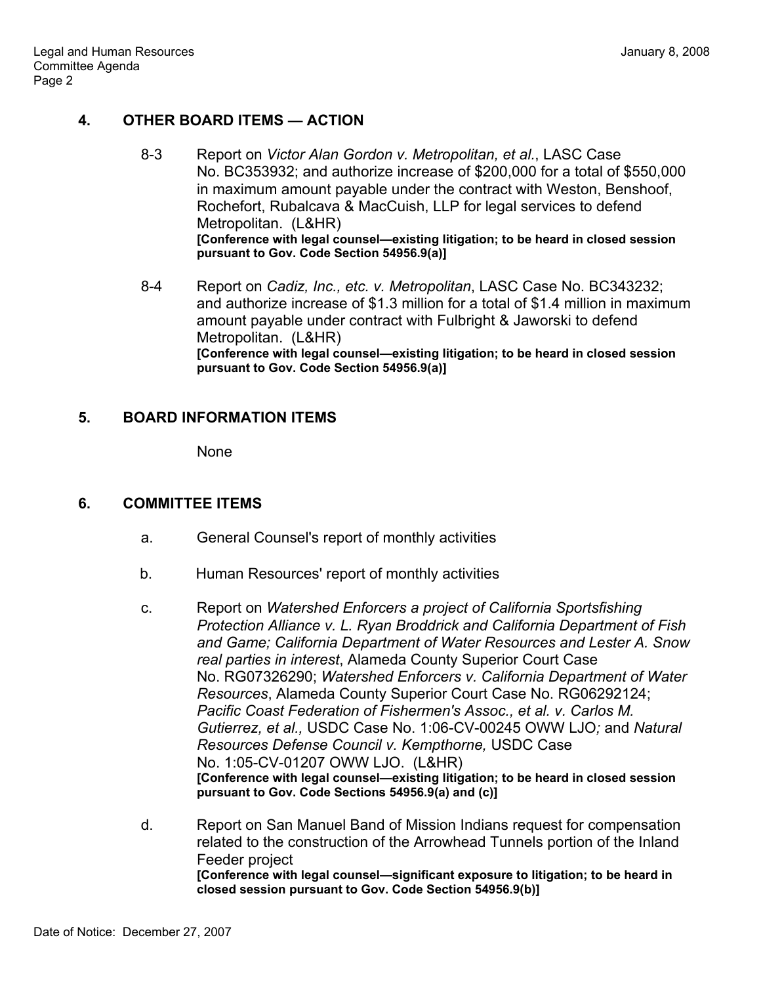# **4. OTHER BOARD ITEMS — ACTION**

- 8-3 Report on *Victor Alan Gordon v. Metropolitan, et al.*, LASC Case No. BC353932; and authorize increase of \$200,000 for a total of \$550,000 in maximum amount payable under the contract with Weston, Benshoof, Rochefort, Rubalcava & MacCuish, LLP for legal services to defend Metropolitan. (L&HR) **[Conference with legal counsel—existing litigation; to be heard in closed session pursuant to Gov. Code Section 54956.9(a)]**
- 8-4 Report on *Cadiz, Inc., etc. v. Metropolitan*, LASC Case No. BC343232; and authorize increase of \$1.3 million for a total of \$1.4 million in maximum amount payable under contract with Fulbright & Jaworski to defend Metropolitan. (L&HR) **[Conference with legal counsel—existing litigation; to be heard in closed session pursuant to Gov. Code Section 54956.9(a)]**

## **5. BOARD INFORMATION ITEMS**

None

### **6. COMMITTEE ITEMS**

- a. General Counsel's report of monthly activities
- b. Human Resources' report of monthly activities
- c. Report on *Watershed Enforcers a project of California Sportsfishing Protection Alliance v. L. Ryan Broddrick and California Department of Fish and Game; California Department of Water Resources and Lester A. Snow real parties in interest*, Alameda County Superior Court Case No. RG07326290; *Watershed Enforcers v. California Department of Water Resources*, Alameda County Superior Court Case No. RG06292124; *Pacific Coast Federation of Fishermen's Assoc., et al. v. Carlos M. Gutierrez, et al.,* USDC Case No. 1:06-CV-00245 OWW LJO*;* and *Natural Resources Defense Council v. Kempthorne,* USDC Case No. 1:05-CV-01207 OWW LJO. (L&HR) **[Conference with legal counsel—existing litigation; to be heard in closed session pursuant to Gov. Code Sections 54956.9(a) and (c)]**
- d. Report on San Manuel Band of Mission Indians request for compensation related to the construction of the Arrowhead Tunnels portion of the Inland Feeder project **[Conference with legal counsel—significant exposure to litigation; to be heard in closed session pursuant to Gov. Code Section 54956.9(b)]**